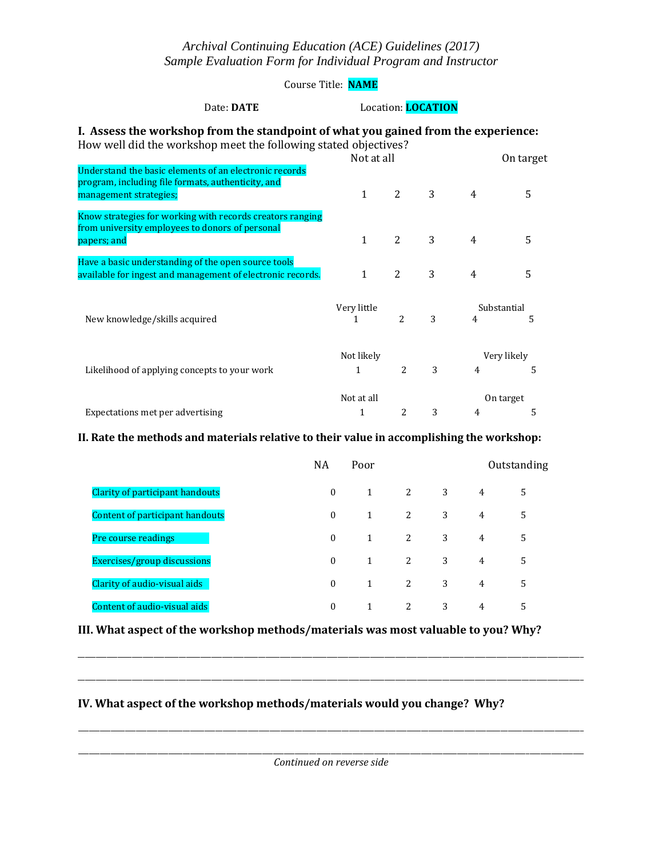### *Archival Continuing Education (ACE) Guidelines (2017) Sample Evaluation Form for Individual Program and Instructor*

Course Title: **NAME**

#### Date: **DATE** Location: **LOCATION**

#### **I. Assess the workshop from the standpoint of what you gained from the experience:** How well did the workshop meet the following stated objectives?

|                                                                                                                                        | Not at all                             |                |   | On target                          |                  |  |
|----------------------------------------------------------------------------------------------------------------------------------------|----------------------------------------|----------------|---|------------------------------------|------------------|--|
| Understand the basic elements of an electronic records<br>program, including file formats, authenticity, and<br>management strategies; | 1                                      | 2              | 3 | 4                                  | 5                |  |
| Know strategies for working with records creators ranging<br>from university employees to donors of personal<br>papers; and            | $\mathbf{1}$                           | $\overline{2}$ | 3 | 4                                  | 5                |  |
| Have a basic understanding of the open source tools<br>available for ingest and management of electronic records.                      | $\mathbf{1}$                           | $\overline{2}$ | 3 | 4                                  | 5                |  |
| New knowledge/skills acquired                                                                                                          | Very little<br>1                       | $\overline{2}$ | 3 | 4                                  | Substantial<br>5 |  |
| Likelihood of applying concepts to your work                                                                                           | Not likely<br>3<br>$\overline{2}$<br>1 |                |   | Very likely<br>5<br>$\overline{4}$ |                  |  |
|                                                                                                                                        | Not at all                             |                |   | On target                          |                  |  |
| Expectations met per advertising                                                                                                       | 1                                      | 2              | 3 | $\overline{4}$                     | 5                |  |

### **II. Rate the methods and materials relative to their value in accomplishing the workshop:**

|                                 | <b>NA</b> | Poor | Outstanding  |   |   |   |
|---------------------------------|-----------|------|--------------|---|---|---|
| Clarity of participant handouts | $\theta$  | 1    | <sup>2</sup> | 3 | 4 | 5 |
| Content of participant handouts | $\Omega$  | 1    | 2            | 3 | 4 | 5 |
| Pre course readings             | $\theta$  | 1    | 2            | 3 | 4 | 5 |
| Exercises/group discussions     | $\Omega$  | 1    | 2            | 3 | 4 | 5 |
| Clarity of audio-visual aids    | $\Omega$  | 1    | 2            | 3 | 4 | 5 |
| Content of audio-visual aids    | $\Omega$  | 1    | 2            | 3 | 4 | 5 |

**III. What aspect of the workshop methods/materials was most valuable to you? Why?** 

### **IV. What aspect of the workshop methods/materials would you change? Why?**

\_\_\_\_\_\_\_\_\_\_\_\_\_\_\_\_\_\_\_\_\_\_\_\_\_\_\_\_\_\_\_\_\_\_\_\_\_\_\_\_\_\_\_\_\_\_\_\_\_\_\_\_\_\_\_\_\_\_\_\_\_\_\_\_\_\_\_\_\_\_\_\_\_\_\_\_\_\_\_\_\_\_\_\_\_\_\_\_\_\_\_\_\_\_\_\_\_\_\_\_\_\_\_\_\_\_\_\_\_\_\_\_\_\_\_\_\_\_\_\_\_\_\_\_\_\_\_\_\_\_\_\_\_\_\_\_\_\_\_\_

\_\_\_\_\_\_\_\_\_\_\_\_\_\_\_\_\_\_\_\_\_\_\_\_\_\_\_\_\_\_\_\_\_\_\_\_\_\_\_\_\_\_\_\_\_\_\_\_\_\_\_\_\_\_\_\_\_\_\_\_\_\_\_\_\_\_\_\_\_\_\_\_\_\_\_\_\_\_\_\_\_\_\_\_\_\_\_\_\_\_\_\_\_\_\_\_\_\_\_\_\_\_\_\_\_\_\_\_\_\_\_\_\_\_\_\_\_\_\_\_\_\_\_\_\_\_\_\_\_\_\_\_\_\_\_\_\_\_\_\_

\_\_\_\_\_\_\_\_\_\_\_\_\_\_\_\_\_\_\_\_\_\_\_\_\_\_\_\_\_\_\_\_\_\_\_\_\_\_\_\_\_\_\_\_\_\_\_\_\_\_\_\_\_\_\_\_\_\_\_\_\_\_\_\_\_\_\_\_\_\_\_\_\_\_\_\_\_\_\_\_\_\_\_\_\_\_\_\_\_\_\_\_\_\_\_\_\_\_\_\_\_\_\_\_\_\_\_\_\_\_\_\_\_\_\_\_\_\_\_\_\_\_\_\_\_\_\_\_\_\_\_\_\_\_\_\_\_\_\_\_